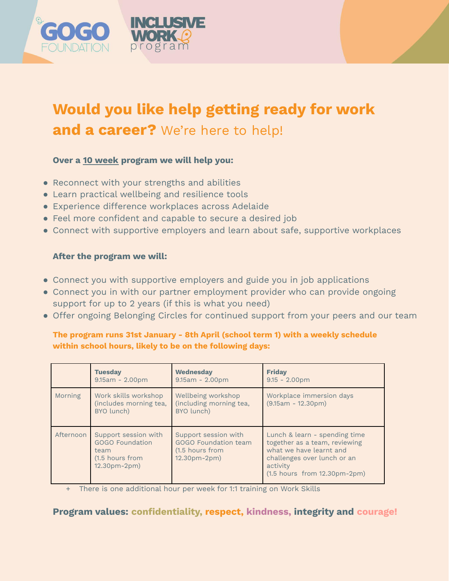

# **Would you like help getting ready for work and a career?** We're here to help!

### **Over a 10 week program we will help you:**

- Reconnect with your strengths and abilities
- Learn practical wellbeing and resilience tools
- Experience difference workplaces across Adelaide
- Feel more confident and capable to secure a desired job
- Connect with supportive employers and learn about safe, supportive workplaces

### **After the program we will:**

- Connect you with supportive employers and guide you in job applications
- Connect you in with our partner employment provider who can provide ongoing support for up to 2 years (if this is what you need)
- Offer ongoing Belonging Circles for continued support from your peers and our team

### **The program runs 31st January - 8th April (school term 1) with a weekly schedule within school hours, likely to be on the following days:**

|           | <b>Tuesday</b><br>$9.15am - 2.00pm$                                                       | <b>Wednesday</b><br>$9.15am - 2.00pm$                                           | <b>Friday</b><br>$9.15 - 2.00$ pm                                                                                                                                            |
|-----------|-------------------------------------------------------------------------------------------|---------------------------------------------------------------------------------|------------------------------------------------------------------------------------------------------------------------------------------------------------------------------|
| Morning   | Work skills workshop<br>(includes morning tea,<br>BYO lunch)                              | Wellbeing workshop<br>(including morning tea,<br>BYO lunch)                     | Workplace immersion days<br>$(9.15am - 12.30pm)$                                                                                                                             |
| Afternoon | Support session with<br><b>GOGO Foundation</b><br>team<br>(1.5 hours from<br>12.30pm-2pm) | Support session with<br>GOGO Foundation team<br>(1.5 hours from<br>12.30pm-2pm) | Lunch & learn - spending time<br>together as a team, reviewing<br>what we have learnt and<br>challenges over lunch or an<br>activity<br>$(1.5$ hours from $12.30$ pm-2pm $)$ |

There is one additional hour per week for 1:1 training on Work Skills

## **Program values: confidentiality, respect, kindness, integrity and courage!**